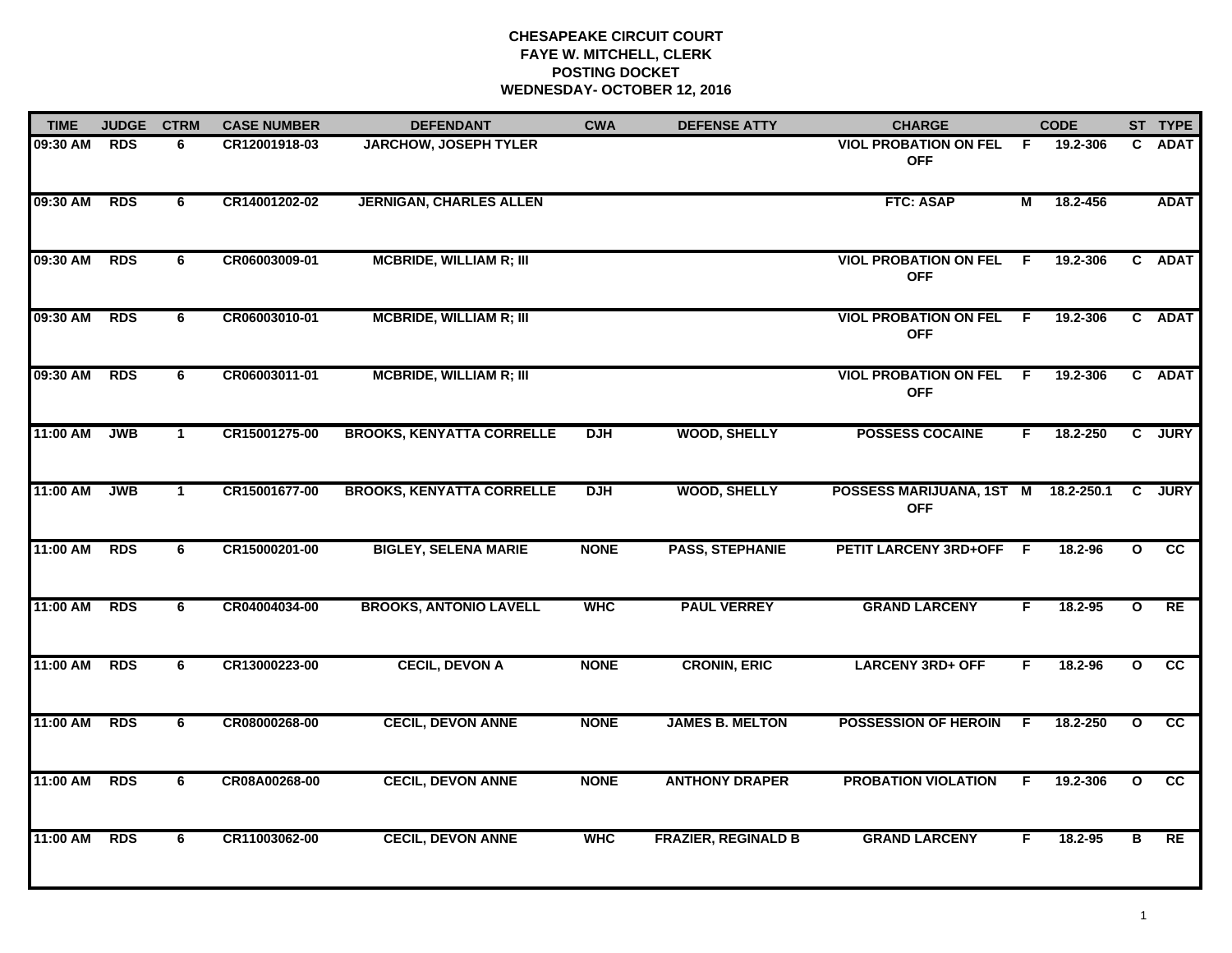## **CHESAPEAKE CIRCUIT COURT FAYE W. MITCHELL, CLERK POSTING DOCKETWEDNESDAY- OCTOBER 12, 2016**

| <b>TIME</b> | <b>JUDGE</b> | <b>CTRM</b>  | <b>CASE NUMBER</b> | <b>DEFENDANT</b>                 | <b>CWA</b>  | <b>DEFENSE ATTY</b>        | <b>CHARGE</b>                                |    | <b>CODE</b> |              | ST TYPE     |
|-------------|--------------|--------------|--------------------|----------------------------------|-------------|----------------------------|----------------------------------------------|----|-------------|--------------|-------------|
| 09:30 AM    | <b>RDS</b>   | 6            | CR12001918-03      | <b>JARCHOW, JOSEPH TYLER</b>     |             |                            | <b>VIOL PROBATION ON FEL</b><br><b>OFF</b>   | F. | 19.2-306    | C.           | <b>ADAT</b> |
| 09:30 AM    | <b>RDS</b>   | 6            | CR14001202-02      | <b>JERNIGAN, CHARLES ALLEN</b>   |             |                            | <b>FTC: ASAP</b>                             | М  | 18.2-456    |              | <b>ADAT</b> |
| 09:30 AM    | <b>RDS</b>   | 6            | CR06003009-01      | <b>MCBRIDE, WILLIAM R; III</b>   |             |                            | <b>VIOL PROBATION ON FEL F</b><br><b>OFF</b> |    | 19.2-306    |              | C ADAT      |
| 09:30 AM    | <b>RDS</b>   | 6            | CR06003010-01      | <b>MCBRIDE, WILLIAM R; III</b>   |             |                            | <b>VIOL PROBATION ON FEL F</b><br><b>OFF</b> |    | 19.2-306    |              | C ADAT      |
| 09:30 AM    | <b>RDS</b>   | 6            | CR06003011-01      | <b>MCBRIDE, WILLIAM R; III</b>   |             |                            | <b>VIOL PROBATION ON FEL</b><br><b>OFF</b>   | -F | 19.2-306    |              | C ADAT      |
| 11:00 AM    | <b>JWB</b>   | $\mathbf{1}$ | CR15001275-00      | <b>BROOKS, KENYATTA CORRELLE</b> | <b>DJH</b>  | <b>WOOD, SHELLY</b>        | <b>POSSESS COCAINE</b>                       | F. | 18.2-250    | $\mathbf{C}$ | <b>JURY</b> |
| 11:00 AM    | <b>JWB</b>   | $\mathbf{1}$ | CR15001677-00      | <b>BROOKS, KENYATTA CORRELLE</b> | <b>DJH</b>  | <b>WOOD, SHELLY</b>        | POSSESS MARIJUANA, 1ST M<br><b>OFF</b>       |    | 18.2-250.1  | C            | <b>JURY</b> |
| 11:00 AM    | <b>RDS</b>   | 6            | CR15000201-00      | <b>BIGLEY, SELENA MARIE</b>      | <b>NONE</b> | <b>PASS, STEPHANIE</b>     | PETIT LARCENY 3RD+OFF F                      |    | 18.2-96     | $\mathbf{o}$ | cc          |
| 11:00 AM    | <b>RDS</b>   | 6            | CR04004034-00      | <b>BROOKS, ANTONIO LAVELL</b>    | <b>WHC</b>  | <b>PAUL VERREY</b>         | <b>GRAND LARCENY</b>                         | F  | $18.2 - 95$ | $\mathbf{o}$ | RE          |
| 11:00 AM    | <b>RDS</b>   | 6            | CR13000223-00      | <b>CECIL, DEVON A</b>            | <b>NONE</b> | <b>CRONIN, ERIC</b>        | <b>LARCENY 3RD+ OFF</b>                      | F. | 18.2-96     | $\mathbf{o}$ | cc          |
| 11:00 AM    | <b>RDS</b>   | 6            | CR08000268-00      | <b>CECIL, DEVON ANNE</b>         | <b>NONE</b> | <b>JAMES B. MELTON</b>     | <b>POSSESSION OF HEROIN</b>                  | F  | 18.2-250    | $\mathbf{o}$ | <b>CC</b>   |
| 11:00 AM    | <b>RDS</b>   | 6            | CR08A00268-00      | <b>CECIL, DEVON ANNE</b>         | <b>NONE</b> | <b>ANTHONY DRAPER</b>      | <b>PROBATION VIOLATION</b>                   | F. | 19.2-306    | $\mathbf{o}$ | cc          |
| 11:00 AM    | <b>RDS</b>   | 6            | CR11003062-00      | <b>CECIL, DEVON ANNE</b>         | <b>WHC</b>  | <b>FRAZIER, REGINALD B</b> | <b>GRAND LARCENY</b>                         | F  | 18.2-95     | в            | RE          |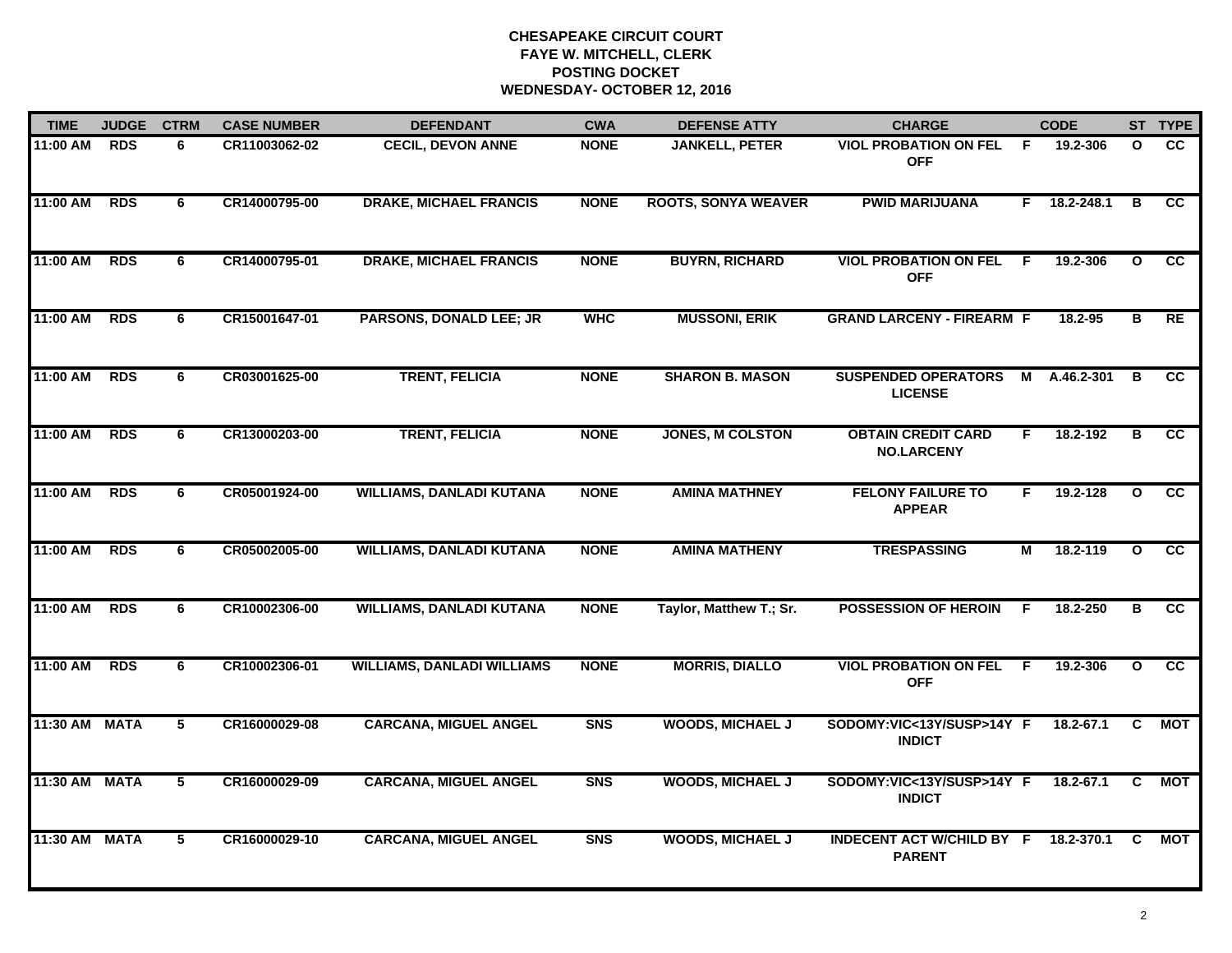## **CHESAPEAKE CIRCUIT COURT FAYE W. MITCHELL, CLERK POSTING DOCKETWEDNESDAY- OCTOBER 12, 2016**

| <b>TIME</b>   | <b>JUDGE</b> | <b>CTRM</b> | <b>CASE NUMBER</b> | <b>DEFENDANT</b>                  | <b>CWA</b>  | <b>DEFENSE ATTY</b>        | <b>CHARGE</b>                                     |                | <b>CODE</b> |              | ST TYPE         |
|---------------|--------------|-------------|--------------------|-----------------------------------|-------------|----------------------------|---------------------------------------------------|----------------|-------------|--------------|-----------------|
| 11:00 AM      | <b>RDS</b>   | 6           | CR11003062-02      | <b>CECIL, DEVON ANNE</b>          | <b>NONE</b> | <b>JANKELL, PETER</b>      | <b>VIOL PROBATION ON FEL</b><br><b>OFF</b>        | - F            | 19.2-306    | O            | CC.             |
| $11:00$ AM    | <b>RDS</b>   | 6           | CR14000795-00      | <b>DRAKE, MICHAEL FRANCIS</b>     | <b>NONE</b> | <b>ROOTS, SONYA WEAVER</b> | <b>PWID MARIJUANA</b>                             | F.             | 18.2-248.1  | в            | $\overline{cc}$ |
| 11:00 AM      | <b>RDS</b>   | 6           | CR14000795-01      | <b>DRAKE, MICHAEL FRANCIS</b>     | <b>NONE</b> | <b>BUYRN, RICHARD</b>      | <b>VIOL PROBATION ON FEL</b><br><b>OFF</b>        | -F             | 19.2-306    | $\mathbf{o}$ | cc              |
| 11:00 AM      | <b>RDS</b>   | 6           | CR15001647-01      | <b>PARSONS, DONALD LEE; JR</b>    | <b>WHC</b>  | <b>MUSSONI, ERIK</b>       | <b>GRAND LARCENY - FIREARM F</b>                  |                | 18.2-95     | в            | <b>RE</b>       |
| 11:00 AM      | <b>RDS</b>   | 6           | CR03001625-00      | <b>TRENT, FELICIA</b>             | <b>NONE</b> | <b>SHARON B. MASON</b>     | <b>SUSPENDED OPERATORS</b><br><b>LICENSE</b>      | $\blacksquare$ | A.46.2-301  | B            | cc              |
| 11:00 AM      | <b>RDS</b>   | 6           | CR13000203-00      | <b>TRENT, FELICIA</b>             | <b>NONE</b> | <b>JONES, M COLSTON</b>    | <b>OBTAIN CREDIT CARD</b><br><b>NO.LARCENY</b>    | F.             | 18.2-192    | в            | $\overline{cc}$ |
| 11:00 AM      | <b>RDS</b>   | 6           | CR05001924-00      | <b>WILLIAMS, DANLADI KUTANA</b>   | <b>NONE</b> | <b>AMINA MATHNEY</b>       | <b>FELONY FAILURE TO</b><br><b>APPEAR</b>         | F.             | 19.2-128    | $\mathbf{o}$ | cc              |
| 11:00 AM      | <b>RDS</b>   | 6           | CR05002005-00      | <b>WILLIAMS, DANLADI KUTANA</b>   | <b>NONE</b> | <b>AMINA MATHENY</b>       | <b>TRESPASSING</b>                                | М              | 18.2-119    | $\mathbf{o}$ | cc              |
| 11:00 AM      | <b>RDS</b>   | 6           | CR10002306-00      | <b>WILLIAMS, DANLADI KUTANA</b>   | <b>NONE</b> | Taylor, Matthew T.; Sr.    | <b>POSSESSION OF HEROIN</b>                       | -F             | 18.2-250    | в            | <b>CC</b>       |
| 11:00 AM      | <b>RDS</b>   | 6           | CR10002306-01      | <b>WILLIAMS, DANLADI WILLIAMS</b> | <b>NONE</b> | <b>MORRIS, DIALLO</b>      | <b>VIOL PROBATION ON FEL</b><br><b>OFF</b>        | F.             | 19.2-306    | $\mathbf{o}$ | cc              |
| 11:30 AM MATA |              | 5           | CR16000029-08      | <b>CARCANA, MIGUEL ANGEL</b>      | <b>SNS</b>  | <b>WOODS, MICHAEL J</b>    | SODOMY:VIC<13Y/SUSP>14Y F<br><b>INDICT</b>        |                | 18.2-67.1   | C            | МОТ             |
| 11:30 AM      | <b>MATA</b>  | 5           | CR16000029-09      | <b>CARCANA, MIGUEL ANGEL</b>      | <b>SNS</b>  | <b>WOODS, MICHAEL J</b>    | SODOMY:VIC<13Y/SUSP>14Y F<br><b>INDICT</b>        |                | 18.2-67.1   | C            | <b>MOT</b>      |
| 11:30 AM      | <b>MATA</b>  | 5           | CR16000029-10      | <b>CARCANA, MIGUEL ANGEL</b>      | <b>SNS</b>  | <b>WOODS, MICHAEL J</b>    | <b>INDECENT ACT W/CHILD BY F</b><br><b>PARENT</b> |                | 18.2-370.1  | <b>C</b>     | <b>MOT</b>      |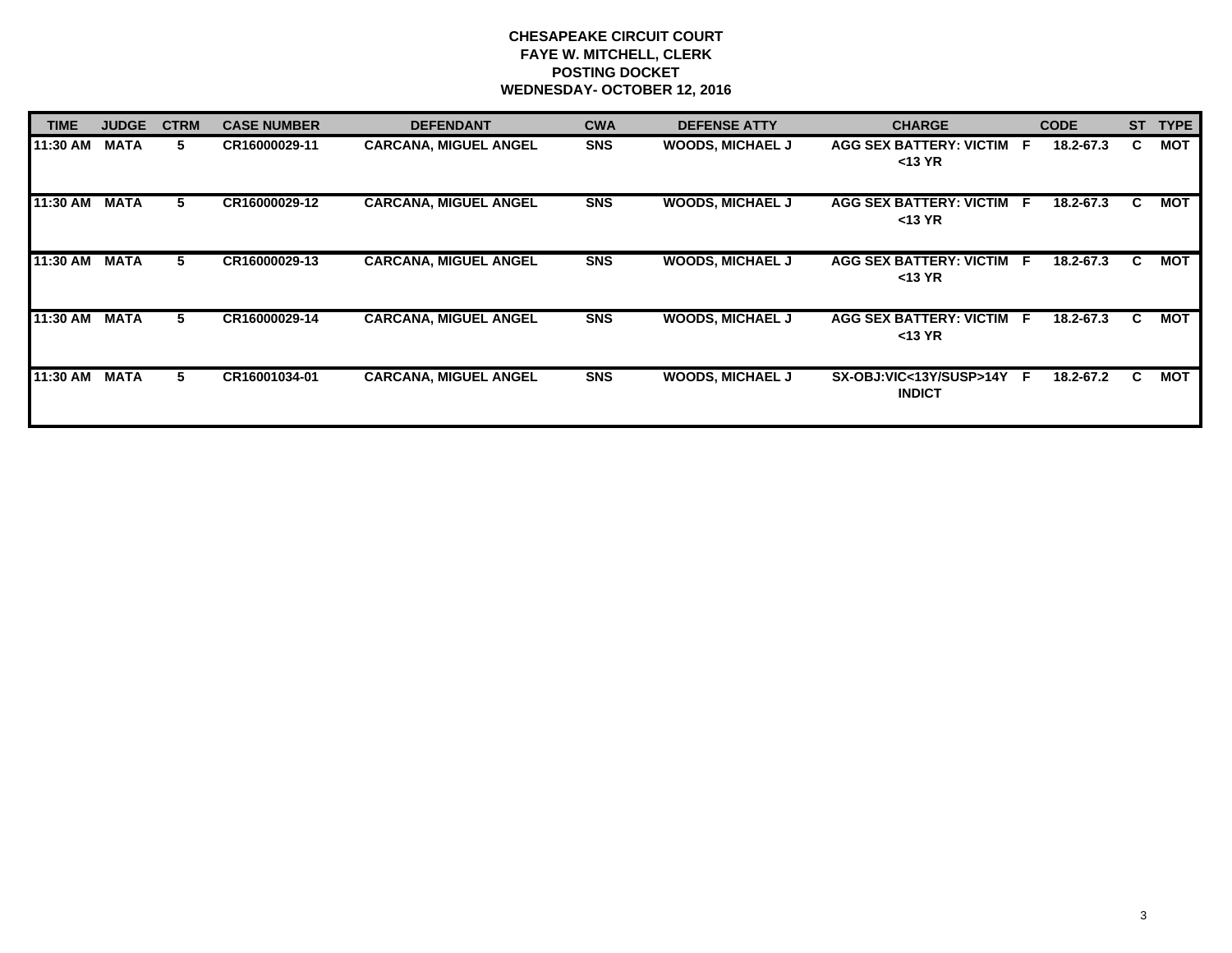# **CHESAPEAKE CIRCUIT COURT FAYE W. MITCHELL, CLERK POSTING DOCKET WEDNESDAY- OCTOBER 12, 2016**

| <b>TIME</b> | <b>JUDGE</b> | <b>CTRM</b> | <b>CASE NUMBER</b> | <b>DEFENDANT</b>             | <b>CWA</b> | <b>DEFENSE ATTY</b>     | <b>CHARGE</b>                              | <b>CODE</b> | <b>ST</b> | <b>TYPE</b> |
|-------------|--------------|-------------|--------------------|------------------------------|------------|-------------------------|--------------------------------------------|-------------|-----------|-------------|
| 11:30 AM    | <b>MATA</b>  | 5.          | CR16000029-11      | <b>CARCANA, MIGUEL ANGEL</b> | <b>SNS</b> | <b>WOODS, MICHAEL J</b> | AGG SEX BATTERY: VICTIM F<br>$<$ 13 YR     | 18.2-67.3   | C.        | <b>MOT</b>  |
| 11:30 AM    | <b>MATA</b>  | 5.          | CR16000029-12      | <b>CARCANA, MIGUEL ANGEL</b> | <b>SNS</b> | <b>WOODS, MICHAEL J</b> | AGG SEX BATTERY: VICTIM F<br>$<$ 13 YR     | 18.2-67.3   | C.        | МОТ         |
| 11:30 AM    | <b>MATA</b>  | 5.          | CR16000029-13      | <b>CARCANA, MIGUEL ANGEL</b> | <b>SNS</b> | <b>WOODS, MICHAEL J</b> | AGG SEX BATTERY: VICTIM F<br>$<$ 13 YR     | 18.2-67.3   | C.        | МОТ         |
| 11:30 AM    | <b>MATA</b>  | 5.          | CR16000029-14      | <b>CARCANA, MIGUEL ANGEL</b> | <b>SNS</b> | <b>WOODS, MICHAEL J</b> | AGG SEX BATTERY: VICTIM F<br>$<$ 13 YR     | 18.2-67.3   | C.        | МОТ         |
| 11:30 AM    | <b>MATA</b>  | 5.          | CR16001034-01      | <b>CARCANA, MIGUEL ANGEL</b> | <b>SNS</b> | <b>WOODS, MICHAEL J</b> | SX-OBJ:VIC<13Y/SUSP>14Y F<br><b>INDICT</b> | 18.2-67.2   | C.        | МОТ         |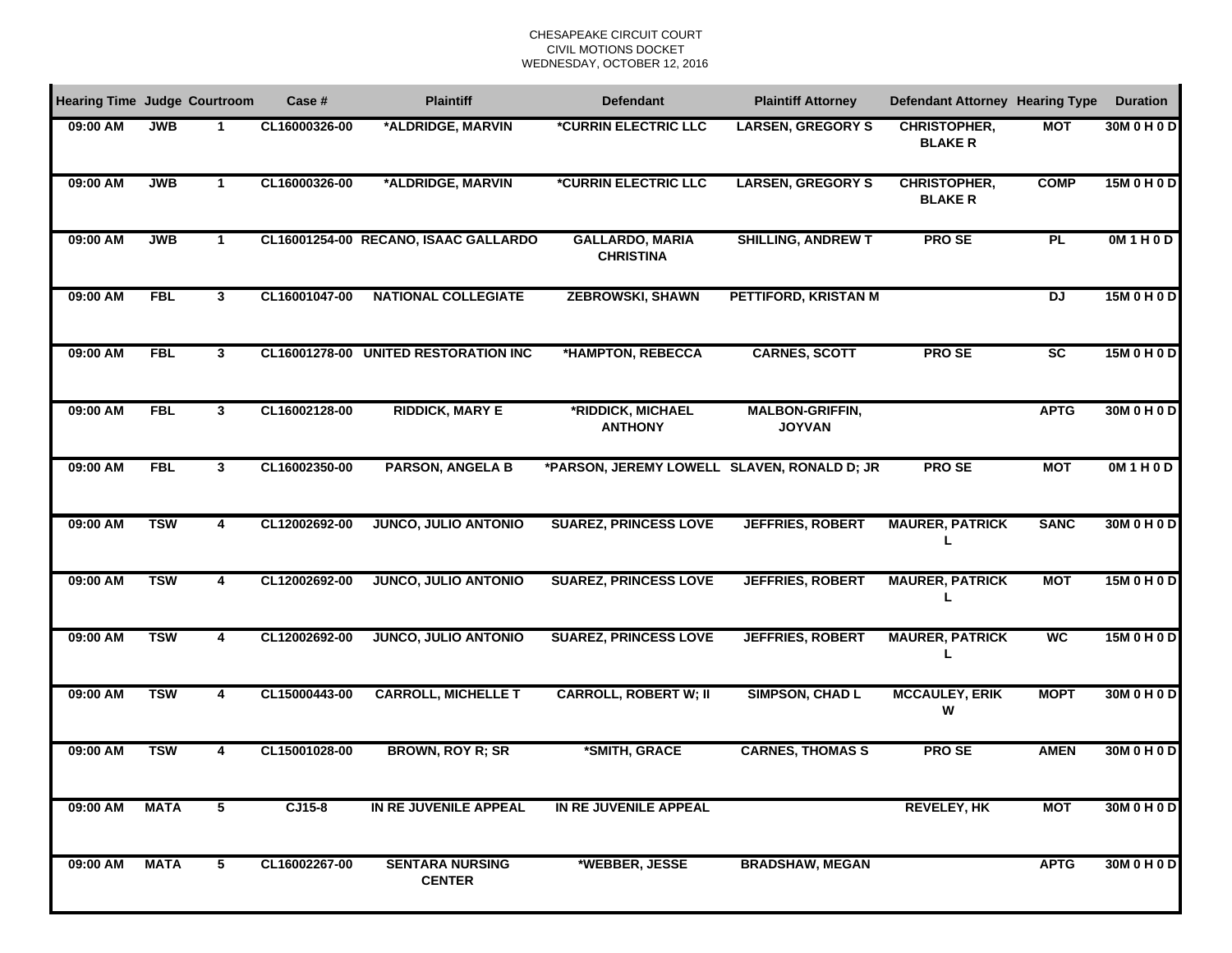#### CHESAPEAKE CIRCUIT COURTCIVIL MOTIONS DOCKET WEDNESDAY, OCTOBER 12, 2016

| <b>Hearing Time Judge Courtroom</b> |             |              | Case #        | <b>Plaintiff</b>                        | <b>Defendant</b>                            | <b>Plaintiff Attorney</b>               | <b>Defendant Attorney Hearing Type</b> |                        | <b>Duration</b> |
|-------------------------------------|-------------|--------------|---------------|-----------------------------------------|---------------------------------------------|-----------------------------------------|----------------------------------------|------------------------|-----------------|
| 09:00 AM                            | <b>JWB</b>  |              | CL16000326-00 | *ALDRIDGE, MARVIN                       | *CURRIN ELECTRIC LLC                        | <b>LARSEN, GREGORY S</b>                | <b>CHRISTOPHER,</b><br><b>BLAKER</b>   | <b>MOT</b>             | 30M 0 H 0 D     |
| 09:00 AM                            | <b>JWB</b>  | 1            | CL16000326-00 | *ALDRIDGE, MARVIN                       | <i><b>*CURRIN ELECTRIC LLC</b></i>          | <b>LARSEN, GREGORY S</b>                | <b>CHRISTOPHER,</b><br><b>BLAKER</b>   | <b>COMP</b>            | 15M 0 H 0 D     |
| 09:00 AM                            | <b>JWB</b>  | $\mathbf 1$  |               | CL16001254-00 RECANO, ISAAC GALLARDO    | <b>GALLARDO, MARIA</b><br><b>CHRISTINA</b>  | <b>SHILLING, ANDREW T</b>               | <b>PROSE</b>                           | PL                     | OM1H0D          |
| 09:00 AM                            | <b>FBL</b>  | 3            | CL16001047-00 | <b>NATIONAL COLLEGIATE</b>              | <b>ZEBROWSKI, SHAWN</b>                     | PETTIFORD, KRISTAN M                    |                                        | $\overline{D}$         | 15M 0 H 0 D     |
| 09:00 AM                            | <b>FBL</b>  | 3            |               | CL16001278-00 UNITED RESTORATION INC    | *HAMPTON, REBECCA                           | <b>CARNES, SCOTT</b>                    | <b>PROSE</b>                           | $\overline{\text{sc}}$ | 15M 0 H 0 D     |
| 09:00 AM                            | <b>FBL</b>  | $\mathbf{3}$ | CL16002128-00 | <b>RIDDICK, MARY E</b>                  | *RIDDICK, MICHAEL<br><b>ANTHONY</b>         | <b>MALBON-GRIFFIN,</b><br><b>JOYVAN</b> |                                        | <b>APTG</b>            | 30M 0 H 0 D     |
| 09:00 AM                            | <b>FBL</b>  | $\mathbf{3}$ | CL16002350-00 | <b>PARSON, ANGELA B</b>                 | *PARSON, JEREMY LOWELL SLAVEN, RONALD D; JR |                                         | <b>PROSE</b>                           | <b>MOT</b>             | OM1H0D          |
| 09:00 AM                            | <b>TSW</b>  | 4            | CL12002692-00 | <b>JUNCO, JULIO ANTONIO</b>             | <b>SUAREZ, PRINCESS LOVE</b>                | <b>JEFFRIES, ROBERT</b>                 | <b>MAURER, PATRICK</b>                 | <b>SANC</b>            | 30M 0 H 0 D     |
| 09:00 AM                            | <b>TSW</b>  | 4            | CL12002692-00 | <b>JUNCO, JULIO ANTONIO</b>             | <b>SUAREZ, PRINCESS LOVE</b>                | <b>JEFFRIES, ROBERT</b>                 | <b>MAURER, PATRICK</b>                 | <b>MOT</b>             | 15M 0 H 0 D     |
| 09:00 AM                            | <b>TSW</b>  | 4            | CL12002692-00 | <b>JUNCO, JULIO ANTONIO</b>             | <b>SUAREZ, PRINCESS LOVE</b>                | <b>JEFFRIES, ROBERT</b>                 | <b>MAURER, PATRICK</b>                 | <b>WC</b>              | 15M 0 H 0 D     |
| 09:00 AM                            | <b>TSW</b>  | 4            | CL15000443-00 | <b>CARROLL, MICHELLE T</b>              | <b>CARROLL, ROBERT W; II</b>                | <b>SIMPSON, CHAD L</b>                  | <b>MCCAULEY, ERIK</b><br>W             | <b>MOPT</b>            | 30M 0 H 0 D     |
| 09:00 AM                            | <b>TSW</b>  | 4            | CL15001028-00 | <b>BROWN, ROY R; SR</b>                 | *SMITH, GRACE                               | <b>CARNES, THOMAS S</b>                 | <b>PROSE</b>                           | <b>AMEN</b>            | 30M 0 H 0 D     |
| 09:00 AM                            | <b>MATA</b> | 5            | $CJ15-8$      | IN RE JUVENILE APPEAL                   | IN RE JUVENILE APPEAL                       |                                         | <b>REVELEY, HK</b>                     | <b>MOT</b>             | 30M 0 H 0 D     |
| 09:00 AM                            | <b>MATA</b> | 5            | CL16002267-00 | <b>SENTARA NURSING</b><br><b>CENTER</b> | *WEBBER, JESSE                              | <b>BRADSHAW, MEGAN</b>                  |                                        | <b>APTG</b>            | 30M 0 H 0 D     |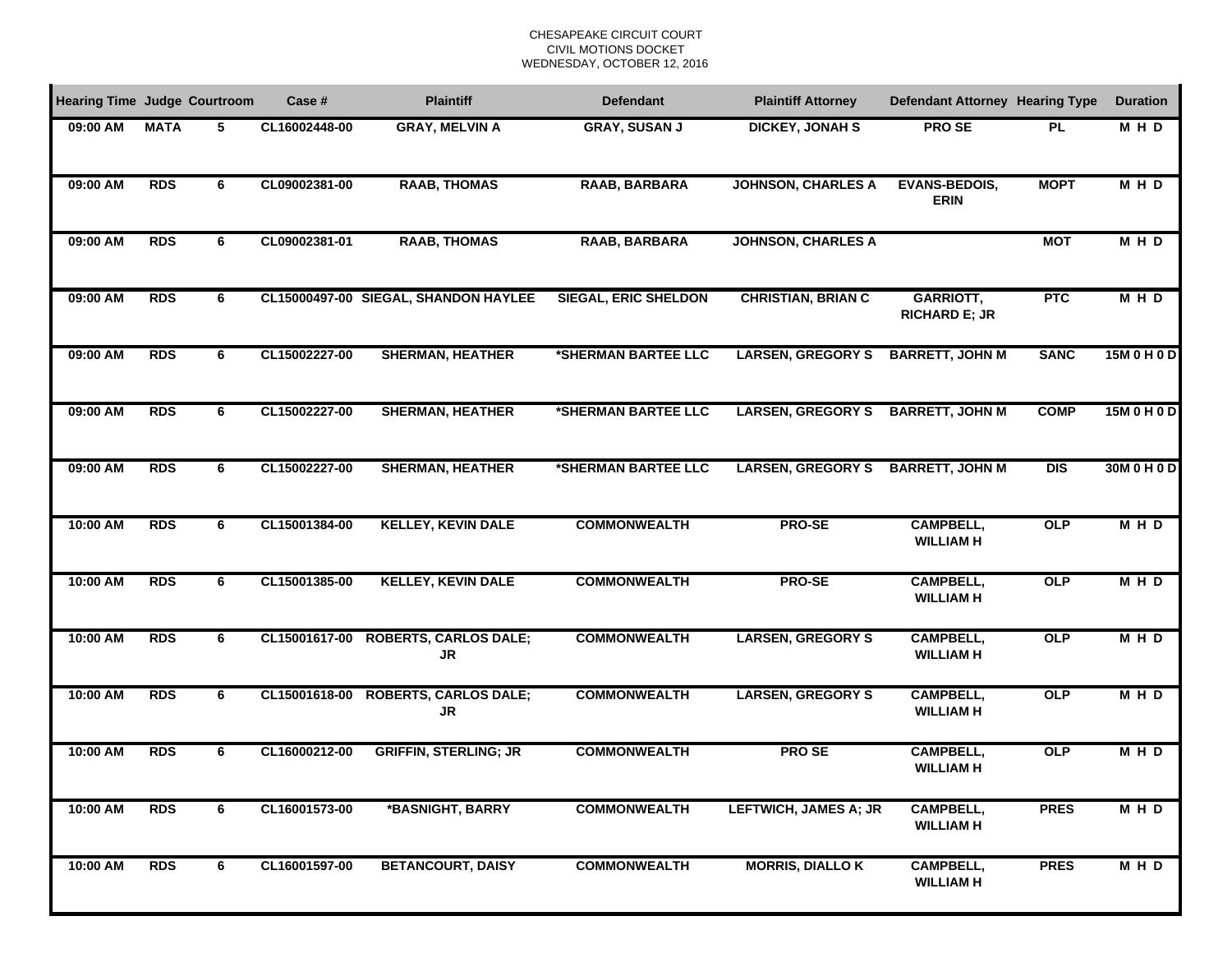#### CHESAPEAKE CIRCUIT COURTCIVIL MOTIONS DOCKET WEDNESDAY, OCTOBER 12, 2016

| <b>Hearing Time Judge Courtroom</b> |             |   | Case #        | <b>Plaintiff</b>                     | <b>Defendant</b>            | <b>Plaintiff Attorney</b>    | <b>Defendant Attorney Hearing Type</b> |             | <b>Duration</b> |
|-------------------------------------|-------------|---|---------------|--------------------------------------|-----------------------------|------------------------------|----------------------------------------|-------------|-----------------|
| 09:00 AM                            | <b>MATA</b> | 5 | CL16002448-00 | <b>GRAY, MELVIN A</b>                | <b>GRAY, SUSAN J</b>        | <b>DICKEY, JONAH S</b>       | <b>PROSE</b>                           | <b>PL</b>   | M H D           |
| 09:00 AM                            | <b>RDS</b>  | 6 | CL09002381-00 | <b>RAAB, THOMAS</b>                  | RAAB, BARBARA               | <b>JOHNSON, CHARLES A</b>    | <b>EVANS-BEDOIS,</b><br><b>ERIN</b>    | <b>MOPT</b> | MHD             |
| 09:00 AM                            | <b>RDS</b>  | 6 | CL09002381-01 | <b>RAAB, THOMAS</b>                  | RAAB, BARBARA               | <b>JOHNSON, CHARLES A</b>    |                                        | <b>MOT</b>  | M H D           |
| 09:00 AM                            | <b>RDS</b>  | 6 |               | CL15000497-00 SIEGAL, SHANDON HAYLEE | <b>SIEGAL, ERIC SHELDON</b> | <b>CHRISTIAN, BRIAN C</b>    | GARRIOTT,<br><b>RICHARD E; JR</b>      | <b>PTC</b>  | <b>MHD</b>      |
| 09:00 AM                            | <b>RDS</b>  | 6 | CL15002227-00 | <b>SHERMAN, HEATHER</b>              | *SHERMAN BARTEE LLC         | <b>LARSEN, GREGORY S</b>     | <b>BARRETT, JOHN M</b>                 | <b>SANC</b> | 15M 0 H 0 D     |
| 09:00 AM                            | <b>RDS</b>  | 6 | CL15002227-00 | <b>SHERMAN, HEATHER</b>              | *SHERMAN BARTEE LLC         | <b>LARSEN, GREGORY S</b>     | <b>BARRETT, JOHN M</b>                 | <b>COMP</b> | 15M 0 H 0 D     |
| 09:00 AM                            | <b>RDS</b>  | 6 | CL15002227-00 | <b>SHERMAN, HEATHER</b>              | *SHERMAN BARTEE LLC         | <b>LARSEN, GREGORY S</b>     | <b>BARRETT, JOHN M</b>                 | $DIS$       | 30M 0 H 0 D     |
| 10:00 AM                            | <b>RDS</b>  | 6 | CL15001384-00 | <b>KELLEY, KEVIN DALE</b>            | <b>COMMONWEALTH</b>         | PRO-SE                       | <b>CAMPBELL,</b><br><b>WILLIAM H</b>   | OLP         | <b>MHD</b>      |
| 10:00 AM                            | <b>RDS</b>  | 6 | CL15001385-00 | <b>KELLEY, KEVIN DALE</b>            | <b>COMMONWEALTH</b>         | <b>PRO-SE</b>                | <b>CAMPBELL,</b><br><b>WILLIAM H</b>   | <b>OLP</b>  | MHD             |
| 10:00 AM                            | <b>RDS</b>  | 6 | CL15001617-00 | <b>ROBERTS, CARLOS DALE;</b><br>JR   | <b>COMMONWEALTH</b>         | <b>LARSEN, GREGORY S</b>     | <b>CAMPBELL,</b><br><b>WILLIAM H</b>   | <b>OLP</b>  | M H D           |
| 10:00 AM                            | <b>RDS</b>  | 6 | CL15001618-00 | <b>ROBERTS, CARLOS DALE;</b><br>JR   | <b>COMMONWEALTH</b>         | <b>LARSEN, GREGORY S</b>     | <b>CAMPBELL,</b><br><b>WILLIAM H</b>   | <b>OLP</b>  | M H D           |
| 10:00 AM                            | <b>RDS</b>  | 6 | CL16000212-00 | <b>GRIFFIN, STERLING; JR</b>         | <b>COMMONWEALTH</b>         | <b>PROSE</b>                 | <b>CAMPBELL,</b><br><b>WILLIAM H</b>   | OLP         | <b>MHD</b>      |
| 10:00 AM                            | <b>RDS</b>  | 6 | CL16001573-00 | *BASNIGHT, BARRY                     | <b>COMMONWEALTH</b>         | <b>LEFTWICH, JAMES A; JR</b> | <b>CAMPBELL,</b><br><b>WILLIAM H</b>   | <b>PRES</b> | <b>MHD</b>      |
| 10:00 AM                            | <b>RDS</b>  | 6 | CL16001597-00 | <b>BETANCOURT, DAISY</b>             | <b>COMMONWEALTH</b>         | <b>MORRIS, DIALLO K</b>      | <b>CAMPBELL,</b><br><b>WILLIAM H</b>   | <b>PRES</b> | <b>MHD</b>      |